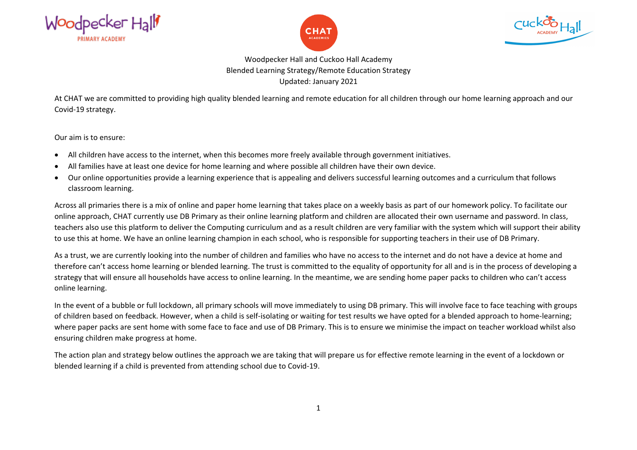





Woodpecker Hall and Cuckoo Hall Academy Blended Learning Strategy/Remote Education Strategy Updated: January 2021

At CHAT we are committed to providing high quality blended learning and remote education for all children through our home learning approach and our Covid-19 strategy.

Our aim is to ensure:

- All children have access to the internet, when this becomes more freely available through government initiatives.
- All families have at least one device for home learning and where possible all children have their own device.
- Our online opportunities provide a learning experience that is appealing and delivers successful learning outcomes and a curriculum that follows classroom learning.

Across all primaries there is a mix of online and paper home learning that takes place on a weekly basis as part of our homework policy. To facilitate our online approach, CHAT currently use DB Primary as their online learning platform and children are allocated their own username and password. In class, teachers also use this platform to deliver the Computing curriculum and as a result children are very familiar with the system which will support their ability to use this at home. We have an online learning champion in each school, who is responsible for supporting teachers in their use of DB Primary.

As a trust, we are currently looking into the number of children and families who have no access to the internet and do not have a device at home and therefore can't access home learning or blended learning. The trust is committed to the equality of opportunity for all and is in the process of developing a strategy that will ensure all households have access to online learning. In the meantime, we are sending home paper packs to children who can't access online learning.

In the event of a bubble or full lockdown, all primary schools will move immediately to using DB primary. This will involve face to face teaching with groups of children based on feedback. However, when a child is self-isolating or waiting for test results we have opted for a blended approach to home-learning; where paper packs are sent home with some face to face and use of DB Primary. This is to ensure we minimise the impact on teacher workload whilst also ensuring children make progress at home.

The action plan and strategy below outlines the approach we are taking that will prepare us for effective remote learning in the event of a lockdown or blended learning if a child is prevented from attending school due to Covid-19.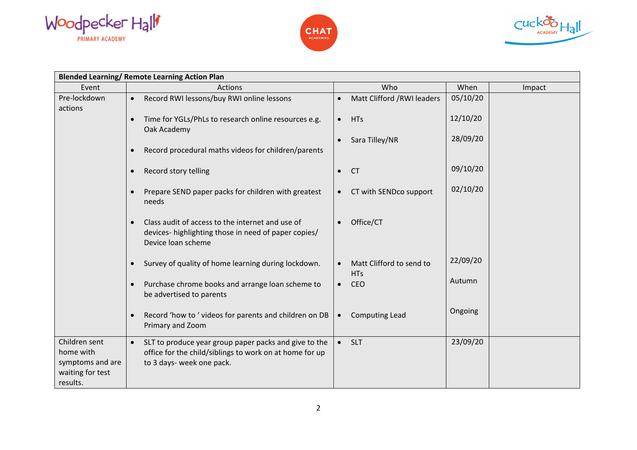





| <b>Blended Learning/ Remote Learning Action Plan</b>                           |                                                                                                                                                            |                                                     |          |        |
|--------------------------------------------------------------------------------|------------------------------------------------------------------------------------------------------------------------------------------------------------|-----------------------------------------------------|----------|--------|
| Event                                                                          | Actions                                                                                                                                                    | Who                                                 | When     | Impact |
| Pre-lockdown<br>actions                                                        | Record RWI lessons/buy RWI online lessons                                                                                                                  | Matt Clifford /RWI leaders<br>$\bullet$             | 05/10/20 |        |
|                                                                                | Time for YGLs/PhLs to research online resources e.g.<br>Oak Academy                                                                                        | <b>HTs</b><br>$\bullet$                             | 12/10/20 |        |
|                                                                                | Record procedural maths videos for children/parents<br>$\bullet$                                                                                           | Sara Tilley/NR<br>$\bullet$                         | 28/09/20 |        |
|                                                                                |                                                                                                                                                            |                                                     |          |        |
|                                                                                | Record story telling<br>$\bullet$                                                                                                                          | <b>CT</b><br>$\bullet$                              | 09/10/20 |        |
|                                                                                | Prepare SEND paper packs for children with greatest<br>needs                                                                                               | CT with SENDco support<br>$\bullet$                 | 02/10/20 |        |
|                                                                                | Class audit of access to the internet and use of<br>devices- highlighting those in need of paper copies/<br>Device loan scheme                             | Office/CT<br>$\bullet$                              |          |        |
|                                                                                | Survey of quality of home learning during lockdown.<br>$\bullet$                                                                                           | Matt Clifford to send to<br>$\bullet$<br><b>HTs</b> | 22/09/20 |        |
|                                                                                | Purchase chrome books and arrange loan scheme to<br>be advertised to parents                                                                               | <b>CEO</b><br>$\bullet$                             | Autumn   |        |
|                                                                                | Record 'how to ' videos for parents and children on DB<br>Primary and Zoom                                                                                 | <b>Computing Lead</b><br>$\bullet$                  | Ongoing  |        |
| Children sent<br>home with<br>symptoms and are<br>waiting for test<br>results. | SLT to produce year group paper packs and give to the<br>$\bullet$<br>office for the child/siblings to work on at home for up<br>to 3 days- week one pack. | SLT<br>$\bullet$                                    | 23/09/20 |        |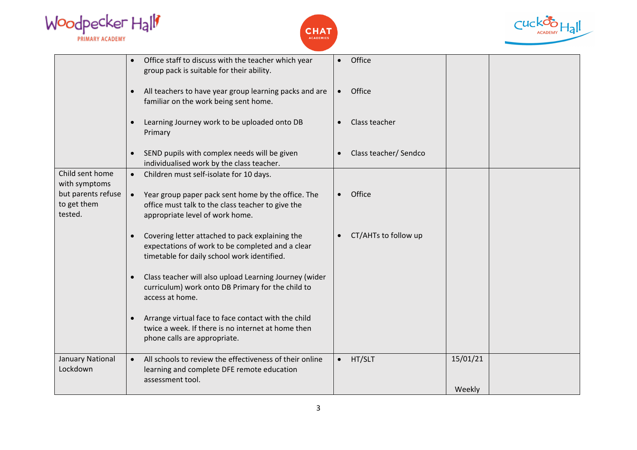| Woodpecker Hall |  |
|-----------------|--|
| PRIMARY ACADEMY |  |





|                                              | Office staff to discuss with the teacher which year<br>group pack is suitable for their ability.                                                        | Office                             |                    |
|----------------------------------------------|---------------------------------------------------------------------------------------------------------------------------------------------------------|------------------------------------|--------------------|
|                                              | All teachers to have year group learning packs and are<br>$\bullet$<br>familiar on the work being sent home.                                            | Office<br>$\bullet$                |                    |
|                                              | Learning Journey work to be uploaded onto DB<br>Primary                                                                                                 | Class teacher<br>$\bullet$         |                    |
|                                              | SEND pupils with complex needs will be given<br>individualised work by the class teacher.                                                               | Class teacher/ Sendco<br>$\bullet$ |                    |
| Child sent home<br>with symptoms             | Children must self-isolate for 10 days.<br>$\bullet$                                                                                                    |                                    |                    |
| but parents refuse<br>to get them<br>tested. | Year group paper pack sent home by the office. The<br>$\bullet$<br>office must talk to the class teacher to give the<br>appropriate level of work home. | Office<br>$\bullet$                |                    |
|                                              | Covering letter attached to pack explaining the<br>expectations of work to be completed and a clear<br>timetable for daily school work identified.      | CT/AHTs to follow up<br>$\bullet$  |                    |
|                                              | Class teacher will also upload Learning Journey (wider<br>curriculum) work onto DB Primary for the child to<br>access at home.                          |                                    |                    |
|                                              | Arrange virtual face to face contact with the child<br>twice a week. If there is no internet at home then<br>phone calls are appropriate.               |                                    |                    |
| <b>January National</b><br>Lockdown          | All schools to review the effectiveness of their online<br>learning and complete DFE remote education<br>assessment tool.                               | HT/SLT<br>$\bullet$                | 15/01/21<br>Weekly |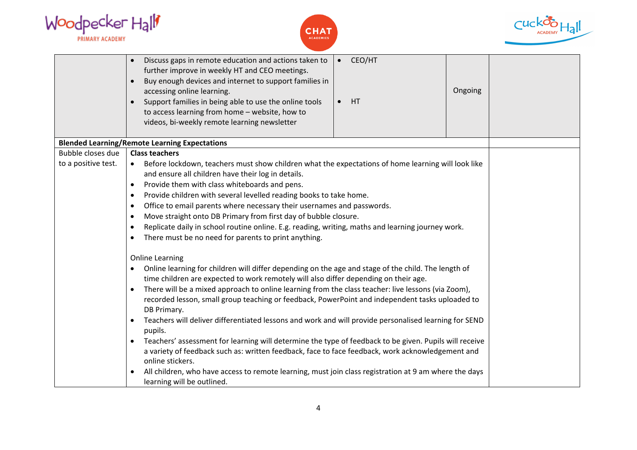| Woodpecker Hall |  |
|-----------------|--|
| PRIMARY ACADEMY |  |





|                     | Discuss gaps in remote education and actions taken to<br>further improve in weekly HT and CEO meetings.<br>Buy enough devices and internet to support families in<br>$\bullet$<br>accessing online learning.<br>Support families in being able to use the online tools<br>to access learning from home - website, how to<br>videos, bi-weekly remote learning newsletter | CEO/HT<br>$\bullet$<br>HT<br>$\bullet$ | Ongoing |  |
|---------------------|--------------------------------------------------------------------------------------------------------------------------------------------------------------------------------------------------------------------------------------------------------------------------------------------------------------------------------------------------------------------------|----------------------------------------|---------|--|
|                     | <b>Blended Learning/Remote Learning Expectations</b>                                                                                                                                                                                                                                                                                                                     |                                        |         |  |
| Bubble closes due   | <b>Class teachers</b>                                                                                                                                                                                                                                                                                                                                                    |                                        |         |  |
| to a positive test. | Before lockdown, teachers must show children what the expectations of home learning will look like<br>$\bullet$                                                                                                                                                                                                                                                          |                                        |         |  |
|                     | and ensure all children have their log in details.                                                                                                                                                                                                                                                                                                                       |                                        |         |  |
|                     | Provide them with class whiteboards and pens.<br>$\bullet$                                                                                                                                                                                                                                                                                                               |                                        |         |  |
|                     | Provide children with several levelled reading books to take home.<br>Office to email parents where necessary their usernames and passwords.<br>$\bullet$                                                                                                                                                                                                                |                                        |         |  |
|                     | Move straight onto DB Primary from first day of bubble closure.<br>$\bullet$                                                                                                                                                                                                                                                                                             |                                        |         |  |
|                     | Replicate daily in school routine online. E.g. reading, writing, maths and learning journey work.                                                                                                                                                                                                                                                                        |                                        |         |  |
|                     | There must be no need for parents to print anything.<br>$\bullet$                                                                                                                                                                                                                                                                                                        |                                        |         |  |
|                     | <b>Online Learning</b><br>Online learning for children will differ depending on the age and stage of the child. The length of                                                                                                                                                                                                                                            |                                        |         |  |
|                     | time children are expected to work remotely will also differ depending on their age.                                                                                                                                                                                                                                                                                     |                                        |         |  |
|                     | There will be a mixed approach to online learning from the class teacher: live lessons (via Zoom),<br>$\bullet$                                                                                                                                                                                                                                                          |                                        |         |  |
|                     | recorded lesson, small group teaching or feedback, PowerPoint and independent tasks uploaded to<br>DB Primary.                                                                                                                                                                                                                                                           |                                        |         |  |
|                     | Teachers will deliver differentiated lessons and work and will provide personalised learning for SEND<br>$\bullet$<br>pupils.                                                                                                                                                                                                                                            |                                        |         |  |
|                     | Teachers' assessment for learning will determine the type of feedback to be given. Pupils will receive<br>$\bullet$                                                                                                                                                                                                                                                      |                                        |         |  |
|                     | a variety of feedback such as: written feedback, face to face feedback, work acknowledgement and                                                                                                                                                                                                                                                                         |                                        |         |  |
|                     | online stickers.                                                                                                                                                                                                                                                                                                                                                         |                                        |         |  |
|                     | All children, who have access to remote learning, must join class registration at 9 am where the days                                                                                                                                                                                                                                                                    |                                        |         |  |
|                     | learning will be outlined.                                                                                                                                                                                                                                                                                                                                               |                                        |         |  |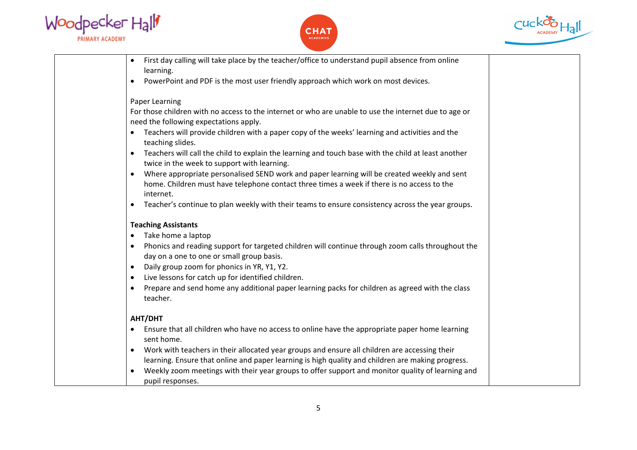





| First day calling will take place by the teacher/office to understand pupil absence from online<br>$\bullet$<br>learning.                                       |
|-----------------------------------------------------------------------------------------------------------------------------------------------------------------|
| PowerPoint and PDF is the most user friendly approach which work on most devices.<br>$\bullet$                                                                  |
|                                                                                                                                                                 |
| Paper Learning                                                                                                                                                  |
| For those children with no access to the internet or who are unable to use the internet due to age or                                                           |
| need the following expectations apply.                                                                                                                          |
| Teachers will provide children with a paper copy of the weeks' learning and activities and the<br>teaching slides.                                              |
| Teachers will call the child to explain the learning and touch base with the child at least another<br>$\bullet$<br>twice in the week to support with learning. |
| Where appropriate personalised SEND work and paper learning will be created weekly and sent<br>$\bullet$                                                        |
| home. Children must have telephone contact three times a week if there is no access to the<br>internet.                                                         |
| Teacher's continue to plan weekly with their teams to ensure consistency across the year groups.<br>$\bullet$                                                   |
| <b>Teaching Assistants</b>                                                                                                                                      |
| Take home a laptop<br>$\bullet$                                                                                                                                 |
| Phonics and reading support for targeted children will continue through zoom calls throughout the<br>$\bullet$<br>day on a one to one or small group basis.     |
| Daily group zoom for phonics in YR, Y1, Y2.<br>$\bullet$                                                                                                        |
| Live lessons for catch up for identified children.<br>$\bullet$                                                                                                 |
| Prepare and send home any additional paper learning packs for children as agreed with the class<br>$\bullet$<br>teacher.                                        |
| AHT/DHT                                                                                                                                                         |
| Ensure that all children who have no access to online have the appropriate paper home learning<br>٠<br>sent home.                                               |
| Work with teachers in their allocated year groups and ensure all children are accessing their<br>$\bullet$                                                      |
| learning. Ensure that online and paper learning is high quality and children are making progress.                                                               |
| Weekly zoom meetings with their year groups to offer support and monitor quality of learning and<br>$\bullet$<br>pupil responses.                               |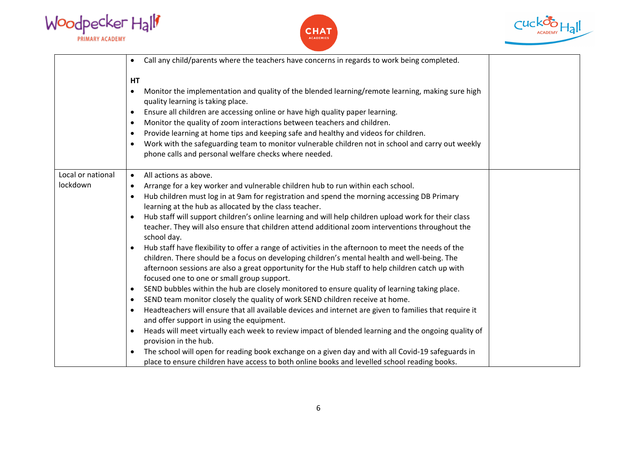





|                               | Call any child/parents where the teachers have concerns in regards to work being completed.<br>$\bullet$                                                                                                                                                                                                                                                                                                                                                                                                                                                                                                                                                                                                                                                                                                                                                                                                                                                                                                                                                                                                                                                                                                                                                                                                                                                                                                                                                                                                                                                                                            |
|-------------------------------|-----------------------------------------------------------------------------------------------------------------------------------------------------------------------------------------------------------------------------------------------------------------------------------------------------------------------------------------------------------------------------------------------------------------------------------------------------------------------------------------------------------------------------------------------------------------------------------------------------------------------------------------------------------------------------------------------------------------------------------------------------------------------------------------------------------------------------------------------------------------------------------------------------------------------------------------------------------------------------------------------------------------------------------------------------------------------------------------------------------------------------------------------------------------------------------------------------------------------------------------------------------------------------------------------------------------------------------------------------------------------------------------------------------------------------------------------------------------------------------------------------------------------------------------------------------------------------------------------------|
|                               | HT<br>Monitor the implementation and quality of the blended learning/remote learning, making sure high<br>$\bullet$<br>quality learning is taking place.<br>Ensure all children are accessing online or have high quality paper learning.<br>$\bullet$<br>Monitor the quality of zoom interactions between teachers and children.<br>$\bullet$<br>Provide learning at home tips and keeping safe and healthy and videos for children.<br>$\bullet$<br>Work with the safeguarding team to monitor vulnerable children not in school and carry out weekly<br>phone calls and personal welfare checks where needed.                                                                                                                                                                                                                                                                                                                                                                                                                                                                                                                                                                                                                                                                                                                                                                                                                                                                                                                                                                                    |
| Local or national<br>lockdown | All actions as above.<br>$\bullet$<br>Arrange for a key worker and vulnerable children hub to run within each school.<br>$\bullet$<br>Hub children must log in at 9am for registration and spend the morning accessing DB Primary<br>learning at the hub as allocated by the class teacher.<br>Hub staff will support children's online learning and will help children upload work for their class<br>teacher. They will also ensure that children attend additional zoom interventions throughout the<br>school day.<br>Hub staff have flexibility to offer a range of activities in the afternoon to meet the needs of the<br>children. There should be a focus on developing children's mental health and well-being. The<br>afternoon sessions are also a great opportunity for the Hub staff to help children catch up with<br>focused one to one or small group support.<br>SEND bubbles within the hub are closely monitored to ensure quality of learning taking place.<br>$\bullet$<br>SEND team monitor closely the quality of work SEND children receive at home.<br>$\bullet$<br>Headteachers will ensure that all available devices and internet are given to families that require it<br>and offer support in using the equipment.<br>Heads will meet virtually each week to review impact of blended learning and the ongoing quality of<br>provision in the hub.<br>The school will open for reading book exchange on a given day and with all Covid-19 safeguards in<br>$\bullet$<br>place to ensure children have access to both online books and levelled school reading books. |